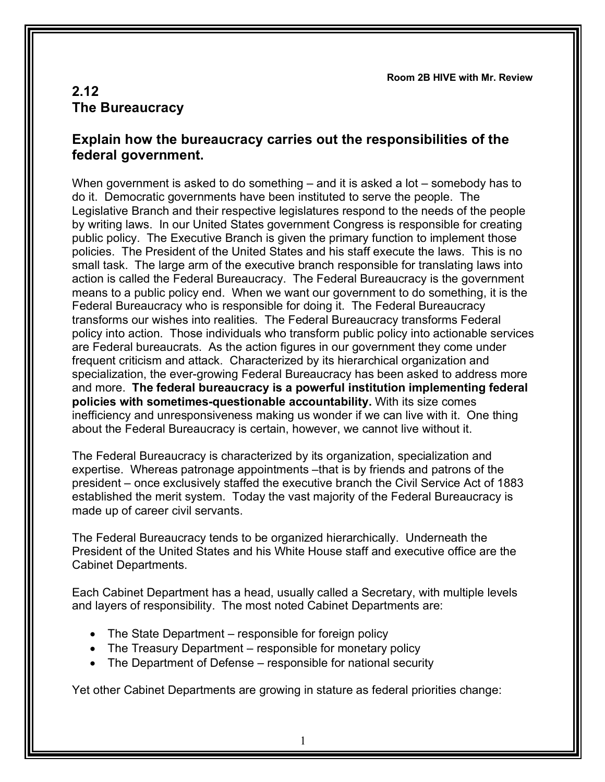**Room 2B HIVE with Mr. Review**

## **2.12 The Bureaucracy**

## **Explain how the bureaucracy carries out the responsibilities of the federal government.**

When government is asked to do something – and it is asked a lot – somebody has to do it. Democratic governments have been instituted to serve the people. The Legislative Branch and their respective legislatures respond to the needs of the people by writing laws. In our United States government Congress is responsible for creating public policy. The Executive Branch is given the primary function to implement those policies. The President of the United States and his staff execute the laws. This is no small task. The large arm of the executive branch responsible for translating laws into action is called the Federal Bureaucracy. The Federal Bureaucracy is the government means to a public policy end. When we want our government to do something, it is the Federal Bureaucracy who is responsible for doing it. The Federal Bureaucracy transforms our wishes into realities. The Federal Bureaucracy transforms Federal policy into action. Those individuals who transform public policy into actionable services are Federal bureaucrats. As the action figures in our government they come under frequent criticism and attack. Characterized by its hierarchical organization and specialization, the ever-growing Federal Bureaucracy has been asked to address more and more. **The federal bureaucracy is a powerful institution implementing federal policies with sometimes-questionable accountability.** With its size comes inefficiency and unresponsiveness making us wonder if we can live with it. One thing about the Federal Bureaucracy is certain, however, we cannot live without it.

The Federal Bureaucracy is characterized by its organization, specialization and expertise. Whereas patronage appointments –that is by friends and patrons of the president – once exclusively staffed the executive branch the Civil Service Act of 1883 established the merit system. Today the vast majority of the Federal Bureaucracy is made up of career civil servants.

The Federal Bureaucracy tends to be organized hierarchically. Underneath the President of the United States and his White House staff and executive office are the Cabinet Departments.

Each Cabinet Department has a head, usually called a Secretary, with multiple levels and layers of responsibility. The most noted Cabinet Departments are:

- The State Department responsible for foreign policy
- The Treasury Department responsible for monetary policy
- The Department of Defense responsible for national security

Yet other Cabinet Departments are growing in stature as federal priorities change: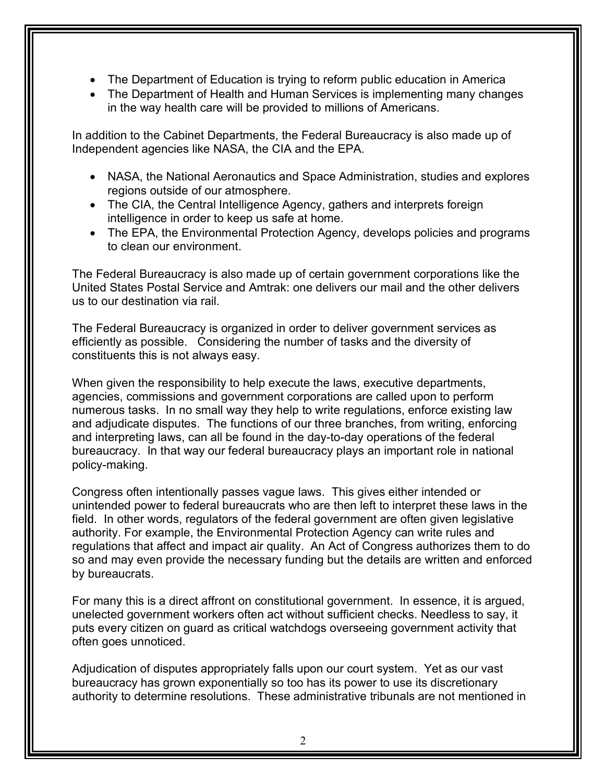- The Department of Education is trying to reform public education in America
- The Department of Health and Human Services is implementing many changes in the way health care will be provided to millions of Americans.

In addition to the Cabinet Departments, the Federal Bureaucracy is also made up of Independent agencies like NASA, the CIA and the EPA.

- NASA, the National Aeronautics and Space Administration, studies and explores regions outside of our atmosphere.
- The CIA, the Central Intelligence Agency, gathers and interprets foreign intelligence in order to keep us safe at home.
- The EPA, the Environmental Protection Agency, develops policies and programs to clean our environment.

The Federal Bureaucracy is also made up of certain government corporations like the United States Postal Service and Amtrak: one delivers our mail and the other delivers us to our destination via rail.

The Federal Bureaucracy is organized in order to deliver government services as efficiently as possible. Considering the number of tasks and the diversity of constituents this is not always easy.

When given the responsibility to help execute the laws, executive departments, agencies, commissions and government corporations are called upon to perform numerous tasks. In no small way they help to write regulations, enforce existing law and adjudicate disputes. The functions of our three branches, from writing, enforcing and interpreting laws, can all be found in the day-to-day operations of the federal bureaucracy. In that way our federal bureaucracy plays an important role in national policy-making.

Congress often intentionally passes vague laws. This gives either intended or unintended power to federal bureaucrats who are then left to interpret these laws in the field. In other words, regulators of the federal government are often given legislative authority. For example, the Environmental Protection Agency can write rules and regulations that affect and impact air quality. An Act of Congress authorizes them to do so and may even provide the necessary funding but the details are written and enforced by bureaucrats.

For many this is a direct affront on constitutional government. In essence, it is argued, unelected government workers often act without sufficient checks. Needless to say, it puts every citizen on guard as critical watchdogs overseeing government activity that often goes unnoticed.

Adjudication of disputes appropriately falls upon our court system. Yet as our vast bureaucracy has grown exponentially so too has its power to use its discretionary authority to determine resolutions. These administrative tribunals are not mentioned in